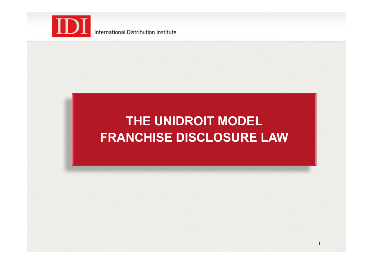

## **THE UNIDROIT MODEL FRANCHISE DISCLOSURE LAW**

1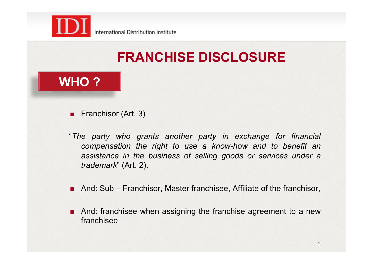

# **FRANCHISE DISCLOSURE**

### **WHO ?**

- **Exercise** Franchisor (Art. 3)
- "*The party who grants another party in exchange for financial compensation the right to use a know-how and to benefit an assistance in the business of selling goods or services under a trademark*" (Art. 2).
- **.** And: Sub Franchisor, Master franchisee, Affiliate of the franchisor,
- **EXECUTE:** And: franchisee when assigning the franchise agreement to a new franchisee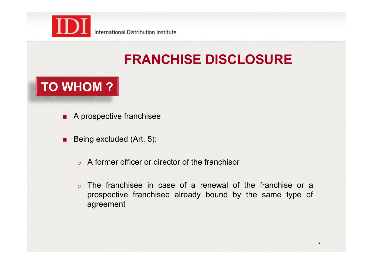

# **FRANCHISE DISCLOSURE**

## **TO WHOM ?**

- **A prospective franchisee**
- **Being excluded (Art. 5):** 
	- o A former officer or director of the franchisor
	- o The franchisee in case of a renewal of the franchise or a prospective franchisee already bound by the same type of agreement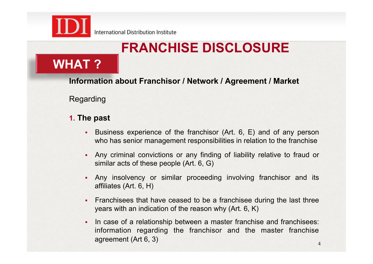

# **FRANCHISE DISCLOSURE**

### **WHAT ?**

**Information about Franchisor / Network / Agreement / Market**

Regarding

#### **1. The past**

- ! Business experience of the franchisor (Art. 6, E) and of any person who has senior management responsibilities in relation to the franchise
- ! Any criminal convictions or any finding of liability relative to fraud or similar acts of these people (Art. 6, G)
- ! Any insolvency or similar proceeding involving franchisor and its affiliates (Art. 6, H)
- ! Franchisees that have ceased to be a franchisee during the last three years with an indication of the reason why (Art. 6, K)
- In case of a relationship between a master franchise and franchisees: information regarding the franchisor and the master franchise agreement (Art 6, 3)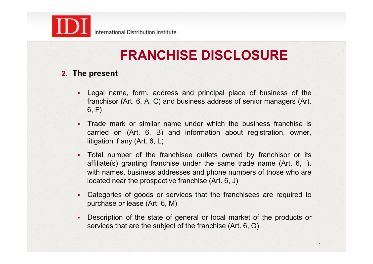

#### **2. The present**

- Legal name, form, address and principal place of business of the franchisor (Art. 6, A, C) and business address of senior managers (Art. 6, F)
- ! Trade mark or similar name under which the business franchise is carried on (Art. 6, B) and information about registration, owner, litigation if any (Art. 6, L)
- ! Total number of the franchisee outlets owned by franchisor or its affiliate(s) granting franchise under the same trade name (Art. 6, I), with names, business addresses and phone numbers of those who are located near the prospective franchise (Art. 6, J)
- ! Categories of goods or services that the franchisees are required to purchase or lease (Art. 6, M)
- ! Description of the state of general or local market of the products or services that are the subject of the franchise (Art. 6, O)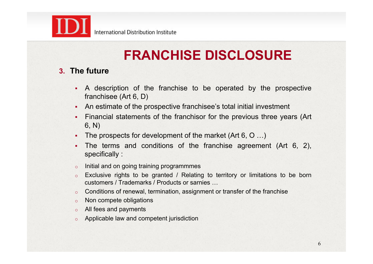

#### **3. The future**

- ! A description of the franchise to be operated by the prospective franchisee (Art 6, D)
- ! An estimate of the prospective franchisee's total initial investment
- ! Financial statements of the franchisor for the previous three years (Art 6, N)
- The prospects for development of the market (Art 6, O ...)
- ! The terms and conditions of the franchise agreement (Art 6, 2), specifically :
- o Initial and on going training programmmes
- o Exclusive rights to be granted / Relating to territory or limitations to be born customers / Trademarks / Products or sarnies …
- o Conditions of renewal, termination, assignment or transfer of the franchise
- o Non compete obligations
- o All fees and payments
- o Applicable law and competent jurisdiction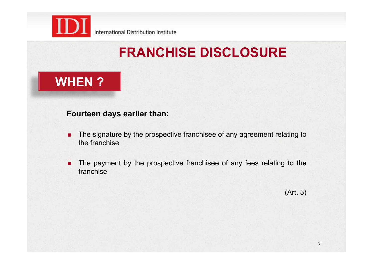

### **WHEN ?**

#### **Fourteen days earlier than:**

- **The signature by the prospective franchisee of any agreement relating to** the franchise
- **The payment by the prospective franchisee of any fees relating to the** franchise

(Art. 3)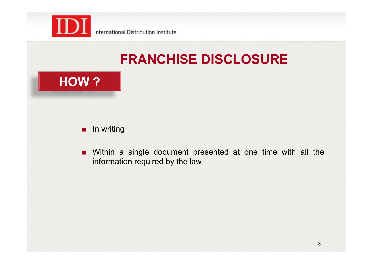

### **HOW ?**

#### **n** In writing

**. Within a single document presented at one time with all the** information required by the law